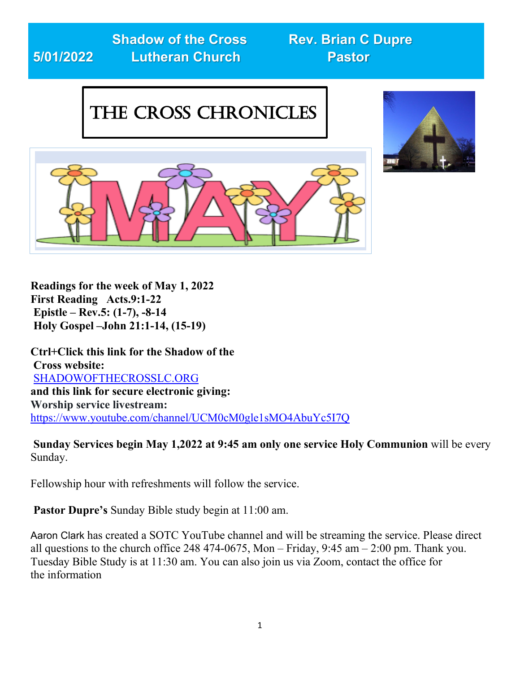# **5/01/2022 Lutheran Church Pastor**

**Shadow of the Cross Rev. Brian C Dupre** 

## The Cross Chronicles





**Readings for the week of May 1, 2022 First Reading Acts.9:1-22 Epistle – Rev.5: (1-7), -8-14 Holy Gospel –John 21:1-14, (15-19)** j.

**Ctrl+Click this link for the Shadow of the Cross website:**  SHADOWOFTHECROSSLC.ORG **and this link for secure electronic giving: Worship service livestream:**  <https://www.youtube.com/channel/UCM0cM0gle1sMO4AbuYc5I7Q>

**Sunday Services begin May 1,2022 at 9:45 am only one service Holy Communion** will be every Sunday.

Fellowship hour with refreshments will follow the service.

**Pastor Dupre's** Sunday Bible study begin at 11:00 am.

Aaron Clark has created a SOTC YouTube channel and will be streaming the service. Please direct all questions to the church office 248 474-0675, Mon – Friday, 9:45 am – 2:00 pm. Thank you. Tuesday Bible Study is at 11:30 am. You can also join us via Zoom, contact the office for the information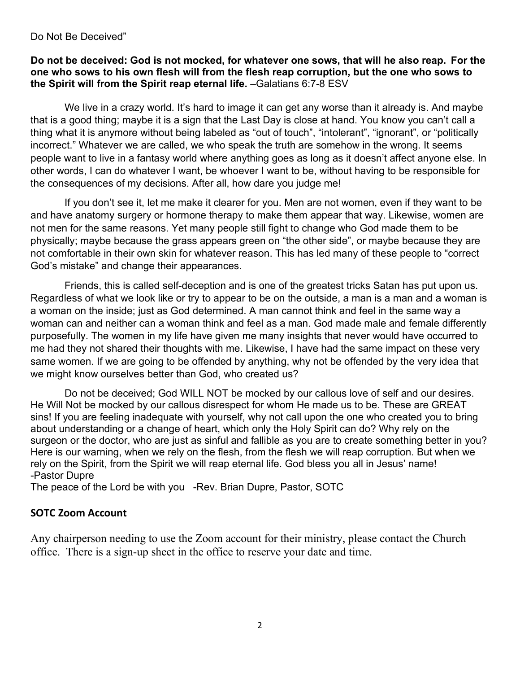#### Do Not Be Deceived"

#### **Do not be deceived: God is not mocked, for whatever one sows, that will he also reap. For the one who sows to his own flesh will from the flesh reap corruption, but the one who sows to the Spirit will from the Spirit reap eternal life.** –Galatians 6:7-8 ESV

We live in a crazy world. It's hard to image it can get any worse than it already is. And maybe that is a good thing; maybe it is a sign that the Last Day is close at hand. You know you can't call a thing what it is anymore without being labeled as "out of touch", "intolerant", "ignorant", or "politically incorrect." Whatever we are called, we who speak the truth are somehow in the wrong. It seems people want to live in a fantasy world where anything goes as long as it doesn't affect anyone else. In other words, I can do whatever I want, be whoever I want to be, without having to be responsible for the consequences of my decisions. After all, how dare you judge me!

 If you don't see it, let me make it clearer for you. Men are not women, even if they want to be and have anatomy surgery or hormone therapy to make them appear that way. Likewise, women are not men for the same reasons. Yet many people still fight to change who God made them to be physically; maybe because the grass appears green on "the other side", or maybe because they are not comfortable in their own skin for whatever reason. This has led many of these people to "correct God's mistake" and change their appearances.

 Friends, this is called self-deception and is one of the greatest tricks Satan has put upon us. Regardless of what we look like or try to appear to be on the outside, a man is a man and a woman is a woman on the inside; just as God determined. A man cannot think and feel in the same way a woman can and neither can a woman think and feel as a man. God made male and female differently purposefully. The women in my life have given me many insights that never would have occurred to me had they not shared their thoughts with me. Likewise, I have had the same impact on these very same women. If we are going to be offended by anything, why not be offended by the very idea that we might know ourselves better than God, who created us?

 Do not be deceived; God WILL NOT be mocked by our callous love of self and our desires. He Will Not be mocked by our callous disrespect for whom He made us to be. These are GREAT sins! If you are feeling inadequate with yourself, why not call upon the one who created you to bring about understanding or a change of heart, which only the Holy Spirit can do? Why rely on the surgeon or the doctor, who are just as sinful and fallible as you are to create something better in you? Here is our warning, when we rely on the flesh, from the flesh we will reap corruption. But when we rely on the Spirit, from the Spirit we will reap eternal life. God bless you all in Jesus' name! -Pastor Dupre

The peace of the Lord be with you -Rev. Brian Dupre, Pastor, SOTC

#### **SOTC Zoom Account**

Any chairperson needing to use the Zoom account for their ministry, please contact the Church office. There is a sign-up sheet in the office to reserve your date and time.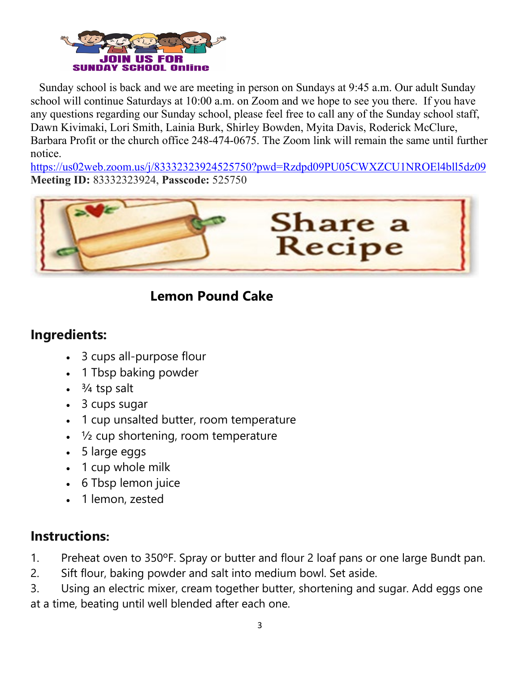

 Sunday school is back and we are meeting in person on Sundays at 9:45 a.m. Our adult Sunday school will continue Saturdays at 10:00 a.m. on Zoom and we hope to see you there. If you have any questions regarding our Sunday school, please feel free to call any of the Sunday school staff, Dawn Kivimaki, Lori Smith, Lainia Burk, Shirley Bowden, Myita Davis, Roderick McClure, Barbara Profit or the church office 248-474-0675. The Zoom link will remain the same until further notice.

<https://us02web.zoom.us/j/83332323924525750?pwd=Rzdpd09PU05CWXZCU1NROEl4bll5dz09> **Meeting ID:** 83332323924, **Passcode:** 525750



## **Lemon Pound Cake**

## **Ingredients:**

- 3 cups all-purpose flour
- 1 Tbsp baking powder
- $$3/4$  tsp salt$
- 3 cups sugar
- 1 cup unsalted butter, room temperature
- $\frac{1}{2}$  cup shortening, room temperature
- 5 large eggs
- 1 cup whole milk
- 6 Tbsp lemon juice
- 1 lemon, zested

## **Instructions:**

1. Preheat oven to 350°F. Spray or butter and flour 2 loaf pans or one large Bundt pan.

2. Sift flour, baking powder and salt into medium bowl. Set aside.

3. Using an electric mixer, cream together butter, shortening and sugar. Add eggs one at a time, beating until well blended after each one.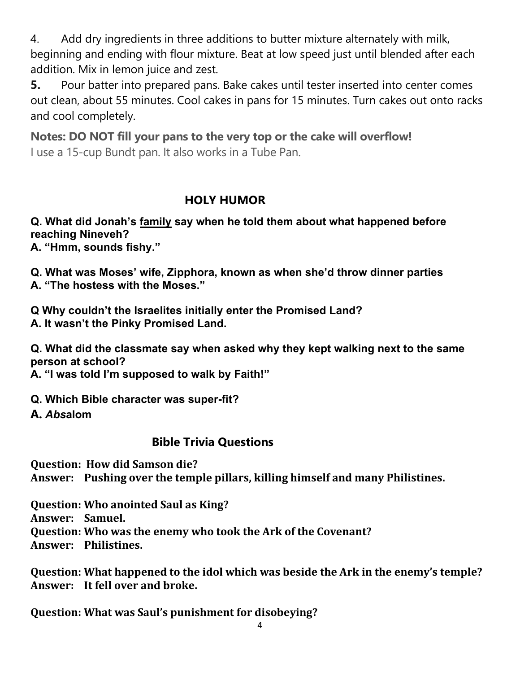4. Add dry ingredients in three additions to butter mixture alternately with milk, beginning and ending with flour mixture. Beat at low speed just until blended after each addition. Mix in lemon juice and zest.

**5.** Pour batter into prepared pans. Bake cakes until tester inserted into center comes out clean, about 55 minutes. Cool cakes in pans for 15 minutes. Turn cakes out onto racks and cool completely.

**Notes: DO NOT fill your pans to the very top or the cake will overflow!** I use a 15-cup Bundt pan. It also works in a Tube Pan.

## **HOLY HUMOR**

## **Q. What did Jonah's [family](https://parade.com/1045384/marynliles/family-quotes/) say when he told them about what happened before reaching Nineveh?**

**A. "Hmm, sounds fishy."**

**Q. What was Moses' wife, Zipphora, known as when she'd throw dinner parties A. "The hostess with the Moses."**

**Q Why couldn't the Israelites initially enter the Promised Land? A. It wasn't the Pinky Promised Land.**

**Q. What did the classmate say when asked why they kept walking next to the same person at school?**

**A. "I was told I'm supposed to walk by Faith!"**

**Q. Which Bible character was super-fit?**

**A.** *Abs***alom**

## **Bible Trivia Questions**

**Question: How did Samson die? Answer: Pushing over the temple pillars, killing himself and many Philistines.**

**Question: Who anointed Saul as King? Answer: Samuel. Question: Who was the enemy who took the Ark of the Covenant? Answer: Philistines.**

**Question: What happened to the idol which was beside the Ark in the enemy's temple? Answer: It fell over and broke.**

**Question: What was Saul's punishment for disobeying?**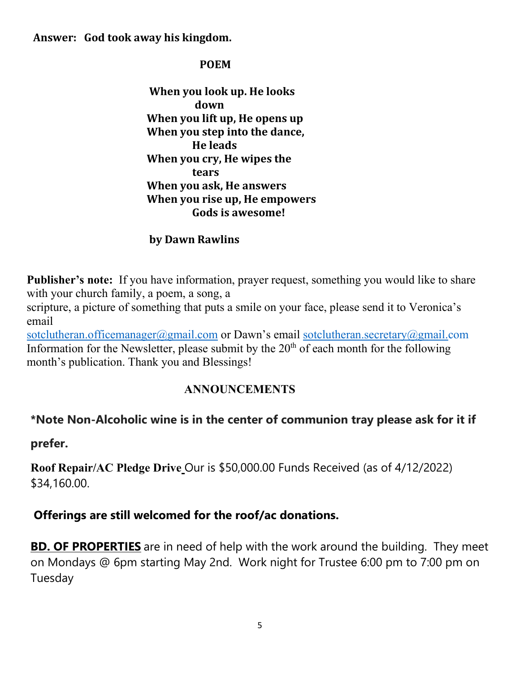#### **Answer: God took away his kingdom.**

#### **POEM**

 **When you look up. He looks down When you lift up, He opens up When you step into the dance, He leads When you cry, He wipes the tears When you ask, He answers When you rise up, He empowers Gods is awesome!**

#### **by Dawn Rawlins**

**Publisher's note:** If you have information, prayer request, something you would like to share with your church family, a poem, a song, a

scripture, a picture of something that puts a smile on your face, please send it to Veronica's email

[sotclutheran.officemanager@gmail.com](mailto:sotclutheran.officemanager@gmail.com) or Dawn's email [sotclutheran.secretary@gmail.com](mailto:sotclutheran.secretary@gmail.com) Information for the Newsletter, please submit by the  $20<sup>th</sup>$  of each month for the following month's publication. Thank you and Blessings!

## **ANNOUNCEMENTS**

## **\*Note Non-Alcoholic wine is in the center of communion tray please ask for it if**

**prefer.**

**Roof Repair/AC Pledge Drive** Our is \$50,000.00 Funds Received (as of 4/12/2022) \$34,160.00.

## **Offerings are still welcomed for the roof/ac donations.**

**BD. OF PROPERTIES** are in need of help with the work around the building. They meet on Mondays @ 6pm starting May 2nd. Work night for Trustee 6:00 pm to 7:00 pm on Tuesday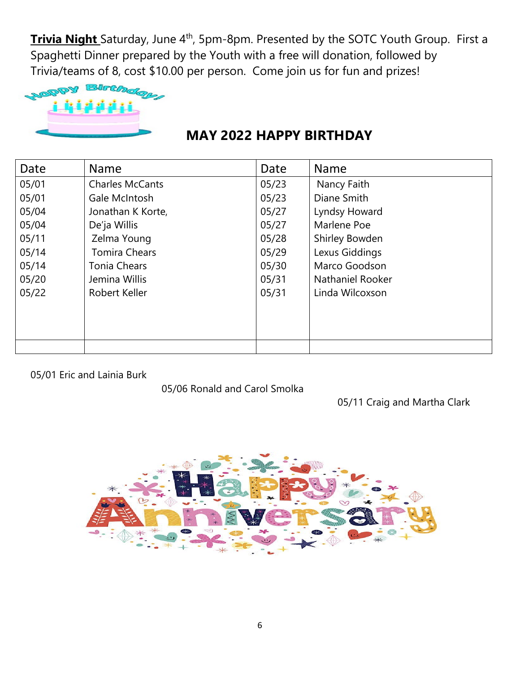**Trivia Night** Saturday, June 4<sup>th</sup>, 5pm-8pm. Presented by the SOTC Youth Group. First a Spaghetti Dinner prepared by the Youth with a free will donation, followed by Trivia/teams of 8, cost \$10.00 per person. Come join us for fun and prizes!



## **MAY 2022 HAPPY BIRTHDAY**

| Date  | <b>Name</b>            | Date  | <b>Name</b>      |
|-------|------------------------|-------|------------------|
| 05/01 | <b>Charles McCants</b> | 05/23 | Nancy Faith      |
| 05/01 | Gale McIntosh          | 05/23 | Diane Smith      |
| 05/04 | Jonathan K Korte,      | 05/27 | Lyndsy Howard    |
| 05/04 | De'ja Willis           | 05/27 | Marlene Poe      |
| 05/11 | Zelma Young            | 05/28 | Shirley Bowden   |
| 05/14 | <b>Tomira Chears</b>   | 05/29 | Lexus Giddings   |
| 05/14 | <b>Tonia Chears</b>    | 05/30 | Marco Goodson    |
| 05/20 | Jemina Willis          | 05/31 | Nathaniel Rooker |
| 05/22 | Robert Keller          | 05/31 | Linda Wilcoxson  |
|       |                        |       |                  |
|       |                        |       |                  |
|       |                        |       |                  |
|       |                        |       |                  |

05/01 Eric and Lainia Burk

05/06 Ronald and Carol Smolka

05/11 Craig and Martha Clark